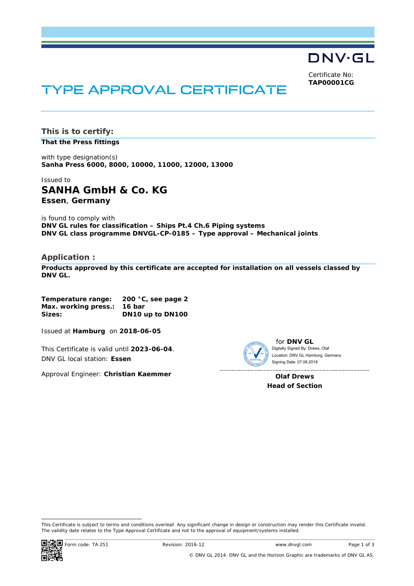DNV·GL

Certificate No: **TAP00001CG**

# TYPE APPROVAL CERTIFICATE

**This is to certify:** 

**That the Press fittings**

with type designation(s) **Sanha Press 6000, 8000, 10000, 11000, 12000, 13000**

Issued to **SANHA GmbH & Co. KG Essen**, **Germany** 

is found to comply with **DNV GL rules for classification – Ships Pt.4 Ch.6 Piping systems DNV GL class programme DNVGL-CP-0185 – Type approval – Mechanical joints** 

#### **Application :**

**Products approved by this certificate are accepted for installation on all vessels classed by DNV GL.**

**Temperature range: 200 °C, see page 2 Max. working press.: 16 bar Sizes: DN10 up to DN100** 

Issued at **Hamburg** on **2018-06-05**

This Certificate is valid until **2023-06-04**. DNV GL local station: **Essen**

Approval Engineer: **Christian Kaemmer**



for **DNV GL** Digitally Signed By: Drews, Olaf Signing Date: 07.06.2018 Location: DNV GL Hamburg, Germany

**Olaf Drews Head of Section** 

 This Certificate is subject to terms and conditions overleaf. Any significant change in design or construction may render this Certificate invalid. The validity date relates to the Type Approval Certificate and not to the approval of equipment/systems installed.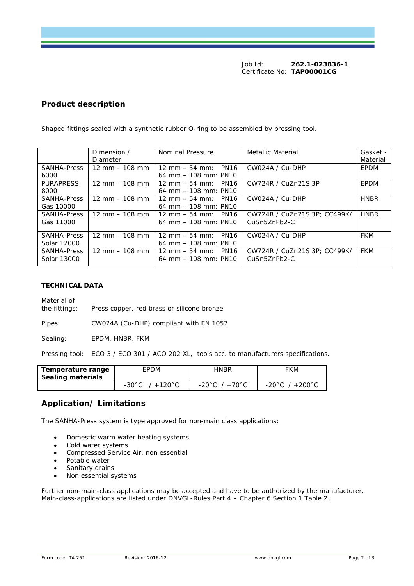Job Id: **262.1-023836-1**  Certificate No: **TAP00001CG**

# **Product description**

|                    | Dimension /                      | Nominal Pressure                                      | Metallic Material            | Gasket -    |
|--------------------|----------------------------------|-------------------------------------------------------|------------------------------|-------------|
|                    | Diameter                         |                                                       |                              | Material    |
| <b>SANHA-Press</b> | $12 \text{ mm} - 108 \text{ mm}$ | $12 \text{ mm} - 54 \text{ mm}$ : PN16                | CW024A / Cu-DHP              | EPDM        |
| 6000               |                                  | $64 \text{ mm} - 108 \text{ mm}$ : PN10               |                              |             |
| <b>PURAPRESS</b>   | $12 \text{ mm} - 108 \text{ mm}$ | PN <sub>16</sub><br>$12 \text{ mm} - 54 \text{ mm}$ : | CW724R / CuZn21Si3P          | EPDM        |
| 8000               |                                  | $64 \text{ mm} - 108 \text{ mm}$ : PN10               |                              |             |
| <b>SANHA-Press</b> | $12 \text{ mm} - 108 \text{ mm}$ | $12 \text{ mm} - 54 \text{ mm}$ : PN16                | CW024A / Cu-DHP              | <b>HNBR</b> |
| Gas 10000          |                                  | $64 \text{ mm} - 108 \text{ mm}$ : PN10               |                              |             |
| <b>SANHA-Press</b> | $12 \text{ mm} - 108 \text{ mm}$ | $12 \text{ mm} - 54 \text{ mm}$ : PN16                | CW724R / CuZn21Si3P: CC499K/ | <b>HNBR</b> |
| Gas 11000          |                                  | $64 \text{ mm} - 108 \text{ mm}$ : PN10               | CuSn5ZnPb2-C                 |             |
|                    |                                  |                                                       |                              |             |
| <b>SANHA-Press</b> | $12 \text{ mm} - 108 \text{ mm}$ | $12 \text{ mm} - 54 \text{ mm}$ : PN16                | CW024A / Cu-DHP              | <b>FKM</b>  |
| Solar 12000        |                                  | $64 \text{ mm} - 108 \text{ mm}$ : PN10               |                              |             |
| <b>SANHA-Press</b> | $12 \text{ mm} - 108 \text{ mm}$ | $12 \text{ mm} - 54 \text{ mm}$ : PN16                | CW724R / CuZn21Si3P: CC499K/ | <b>FKM</b>  |
| Solar 13000        |                                  | $64 \text{ mm} - 108 \text{ mm}$ : PN10               | CuSn5ZnPb2-C                 |             |
|                    |                                  |                                                       |                              |             |

Shaped fittings sealed with a synthetic rubber O-ring to be assembled by pressing tool.

#### **TECHNICAL DATA**

Material of the fittings: Press copper, red brass or silicone bronze.

Pipes: CW024A (Cu-DHP) compliant with EN 1057

Sealing: **EPDM, HNBR, FKM** 

Pressing tool: ECO 3 / ECO 301 / ACO 202 XL, tools acc. to manufacturers specifications.

| Temperature range<br>Sealing materials | EPDM                         | HNBR                              | FKM                                |
|----------------------------------------|------------------------------|-----------------------------------|------------------------------------|
|                                        | -30°C<br>$/ + 120^{\circ}$ C | $-20^{\circ}$ C / $+70^{\circ}$ C | $-20^{\circ}$ C / $+200^{\circ}$ C |

# **Application/ Limitations**

The SANHA-Press system is type approved for non-main class applications:

- Domestic warm water heating systems
- Cold water systems
- Compressed Service Air, non essential
- Potable water
- Sanitary drains
- Non essential systems

Further non-main-class applications may be accepted and have to be authorized by the manufacturer. Main-class-applications are listed under DNVGL-Rules Part 4 - Chapter 6 Section 1 Table 2.